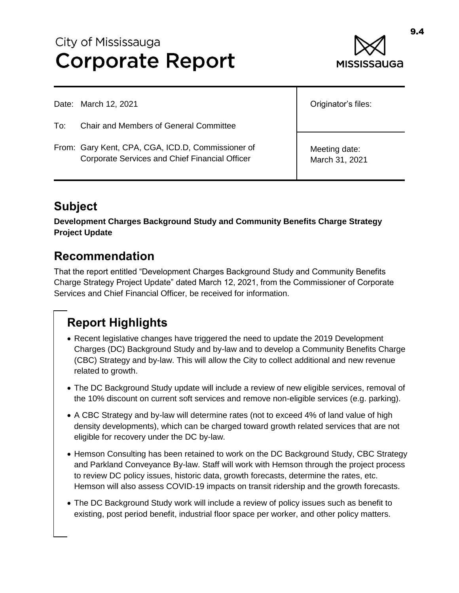# City of Mississauga **Corporate Report**



Date: March 12, 2021

To: Chair and Members of General Committee

From: Gary Kent, CPA, CGA, ICD.D, Commissioner of Corporate Services and Chief Financial Officer

Originator's files:

Meeting date: March 31, 2021

### **Subject**

**Development Charges Background Study and Community Benefits Charge Strategy Project Update**

### **Recommendation**

That the report entitled "Development Charges Background Study and Community Benefits Charge Strategy Project Update" dated March 12, 2021, from the Commissioner of Corporate Services and Chief Financial Officer, be received for information.

## **Report Highlights**

- Recent legislative changes have triggered the need to update the 2019 Development Charges (DC) Background Study and by-law and to develop a Community Benefits Charge (CBC) Strategy and by-law. This will allow the City to collect additional and new revenue related to growth.
- The DC Background Study update will include a review of new eligible services, removal of the 10% discount on current soft services and remove non-eligible services (e.g. parking).
- A CBC Strategy and by-law will determine rates (not to exceed 4% of land value of high density developments), which can be charged toward growth related services that are not eligible for recovery under the DC by-law.
- Hemson Consulting has been retained to work on the DC Background Study, CBC Strategy and Parkland Conveyance By-law. Staff will work with Hemson through the project process to review DC policy issues, historic data, growth forecasts, determine the rates, etc. Hemson will also assess COVID-19 impacts on transit ridership and the growth forecasts.
- The DC Background Study work will include a review of policy issues such as benefit to existing, post period benefit, industrial floor space per worker, and other policy matters.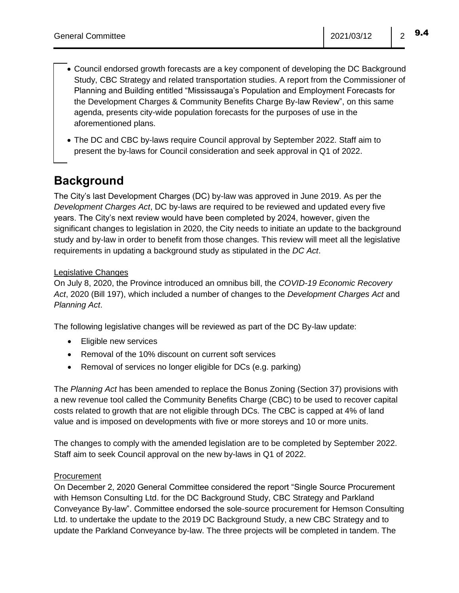- Council endorsed growth forecasts are a key component of developing the DC Background Study, CBC Strategy and related transportation studies. A report from the Commissioner of Planning and Building entitled "Mississauga's Population and Employment Forecasts for the Development Charges & Community Benefits Charge By-law Review", on this same agenda, presents city-wide population forecasts for the purposes of use in the aforementioned plans.
- The DC and CBC by-laws require Council approval by September 2022. Staff aim to present the by-laws for Council consideration and seek approval in Q1 of 2022.

### **Background**

The City's last Development Charges (DC) by-law was approved in June 2019. As per the *Development Charges Act*, DC by-laws are required to be reviewed and updated every five years. The City's next review would have been completed by 2024, however, given the significant changes to legislation in 2020, the City needs to initiate an update to the background study and by-law in order to benefit from those changes. This review will meet all the legislative requirements in updating a background study as stipulated in the *DC Act*.

#### Legislative Changes

On July 8, 2020, the Province introduced an omnibus bill, the *COVID-19 Economic Recovery Act*, 2020 (Bill 197), which included a number of changes to the *Development Charges Act* and *Planning Act*.

The following legislative changes will be reviewed as part of the DC By-law update:

- Eligible new services
- Removal of the 10% discount on current soft services
- Removal of services no longer eligible for DCs (e.g. parking)

The *Planning Act* has been amended to replace the Bonus Zoning (Section 37) provisions with a new revenue tool called the Community Benefits Charge (CBC) to be used to recover capital costs related to growth that are not eligible through DCs. The CBC is capped at 4% of land value and is imposed on developments with five or more storeys and 10 or more units.

The changes to comply with the amended legislation are to be completed by September 2022. Staff aim to seek Council approval on the new by-laws in Q1 of 2022.

#### Procurement

On December 2, 2020 General Committee considered the report "Single Source Procurement with Hemson Consulting Ltd. for the DC Background Study, CBC Strategy and Parkland Conveyance By-law". Committee endorsed the sole-source procurement for Hemson Consulting Ltd. to undertake the update to the 2019 DC Background Study, a new CBC Strategy and to update the Parkland Conveyance by-law. The three projects will be completed in tandem. The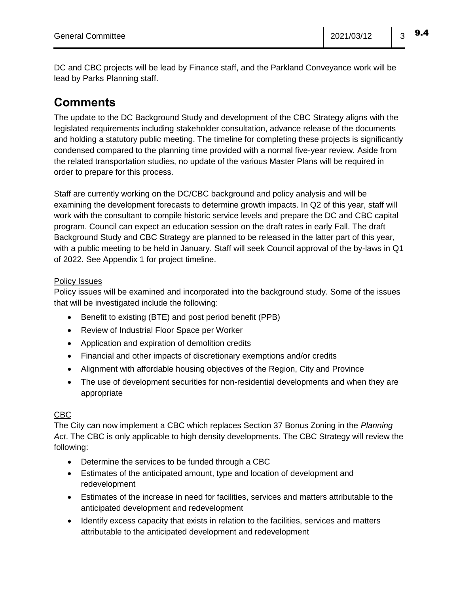DC and CBC projects will be lead by Finance staff, and the Parkland Conveyance work will be lead by Parks Planning staff.

### **Comments**

The update to the DC Background Study and development of the CBC Strategy aligns with the legislated requirements including stakeholder consultation, advance release of the documents and holding a statutory public meeting. The timeline for completing these projects is significantly condensed compared to the planning time provided with a normal five-year review. Aside from the related transportation studies, no update of the various Master Plans will be required in order to prepare for this process.

Staff are currently working on the DC/CBC background and policy analysis and will be examining the development forecasts to determine growth impacts. In Q2 of this year, staff will work with the consultant to compile historic service levels and prepare the DC and CBC capital program. Council can expect an education session on the draft rates in early Fall. The draft Background Study and CBC Strategy are planned to be released in the latter part of this year, with a public meeting to be held in January. Staff will seek Council approval of the by-laws in Q1 of 2022. See Appendix 1 for project timeline.

#### Policy Issues

Policy issues will be examined and incorporated into the background study. Some of the issues that will be investigated include the following:

- Benefit to existing (BTE) and post period benefit (PPB)
- Review of Industrial Floor Space per Worker
- Application and expiration of demolition credits
- Financial and other impacts of discretionary exemptions and/or credits
- Alignment with affordable housing objectives of the Region, City and Province
- The use of development securities for non-residential developments and when they are appropriate

#### CBC

The City can now implement a CBC which replaces Section 37 Bonus Zoning in the *Planning Act*. The CBC is only applicable to high density developments. The CBC Strategy will review the following:

- Determine the services to be funded through a CBC
- Estimates of the anticipated amount, type and location of development and redevelopment
- Estimates of the increase in need for facilities, services and matters attributable to the anticipated development and redevelopment
- Identify excess capacity that exists in relation to the facilities, services and matters attributable to the anticipated development and redevelopment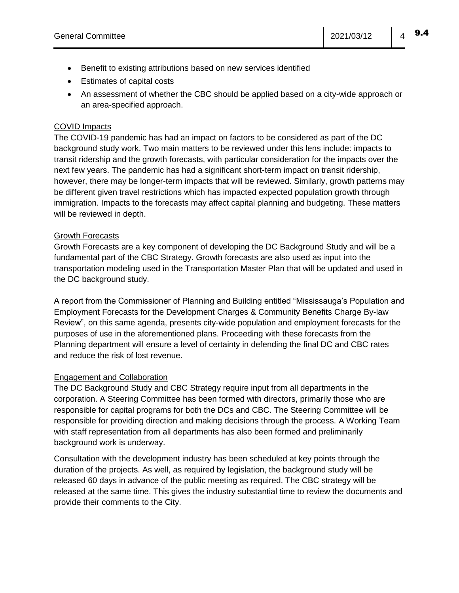- Benefit to existing attributions based on new services identified
- Estimates of capital costs
- An assessment of whether the CBC should be applied based on a city-wide approach or an area-specified approach.

#### COVID Impacts

The COVID-19 pandemic has had an impact on factors to be considered as part of the DC background study work. Two main matters to be reviewed under this lens include: impacts to transit ridership and the growth forecasts, with particular consideration for the impacts over the next few years. The pandemic has had a significant short-term impact on transit ridership, however, there may be longer-term impacts that will be reviewed. Similarly, growth patterns may be different given travel restrictions which has impacted expected population growth through immigration. Impacts to the forecasts may affect capital planning and budgeting. These matters will be reviewed in depth.

#### Growth Forecasts

Growth Forecasts are a key component of developing the DC Background Study and will be a fundamental part of the CBC Strategy. Growth forecasts are also used as input into the transportation modeling used in the Transportation Master Plan that will be updated and used in the DC background study.

A report from the Commissioner of Planning and Building entitled "Mississauga's Population and Employment Forecasts for the Development Charges & Community Benefits Charge By-law Review", on this same agenda, presents city-wide population and employment forecasts for the purposes of use in the aforementioned plans. Proceeding with these forecasts from the Planning department will ensure a level of certainty in defending the final DC and CBC rates and reduce the risk of lost revenue.

#### Engagement and Collaboration

The DC Background Study and CBC Strategy require input from all departments in the corporation. A Steering Committee has been formed with directors, primarily those who are responsible for capital programs for both the DCs and CBC. The Steering Committee will be responsible for providing direction and making decisions through the process. A Working Team with staff representation from all departments has also been formed and preliminarily background work is underway.

Consultation with the development industry has been scheduled at key points through the duration of the projects. As well, as required by legislation, the background study will be released 60 days in advance of the public meeting as required. The CBC strategy will be released at the same time. This gives the industry substantial time to review the documents and provide their comments to the City.